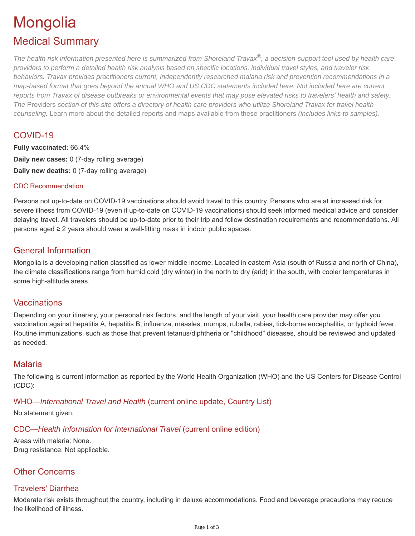# **Mongolia**

# Medical Summary

*The health risk information presented here is summarized from Shoreland Travax®, a decision-support tool used by health care providers to perform a detailed health risk analysis based on specific locations, individual travel styles, and traveler risk behaviors. Travax provides practitioners current, independently researched malaria risk and prevention recommendations in a map-based format that goes beyond the annual WHO and US CDC statements included here. Not included here are current reports from Travax of disease outbreaks or environmental events that may pose elevated risks to travelers' health and safety. The* [Providers](https://tripprep.com/providers) *section of this site offers a directory of health care providers who utilize Shoreland Travax for travel health counseling.* [Learn more about the detailed reports and maps available from these practitioners](http://www.shoreland.com/services/travax/destination-information) *(includes links to samples).*

# COVID-19

**Fully vaccinated:** 66.4% **Daily new cases:** 0 (7-day rolling average) **Daily new deaths:** 0 (7-day rolling average)

#### CDC Recommendation

Persons not up-to-date on COVID-19 vaccinations should avoid travel to this country. Persons who are at increased risk for severe illness from COVID-19 (even if up-to-date on COVID-19 vaccinations) should seek informed medical advice and consider delaying travel. All travelers should be up-to-date prior to their trip and follow destination requirements and recommendations. All persons aged ≥ 2 years should wear a well-fitting mask in indoor public spaces.

# General Information

Mongolia is a developing nation classified as lower middle income. Located in eastern Asia (south of Russia and north of China), the climate classifications range from humid cold (dry winter) in the north to dry (arid) in the south, with cooler temperatures in some high-altitude areas.

#### **Vaccinations**

Depending on your itinerary, your personal risk factors, and the length of your visit, your health care provider may offer you vaccination against hepatitis A, hepatitis B, influenza, measles, mumps, rubella, rabies, tick-borne encephalitis, or typhoid fever. Routine immunizations, such as those that prevent tetanus/diphtheria or "childhood" diseases, should be reviewed and updated as needed.

# Malaria

The following is current information as reported by the World Health Organization (WHO) and the US Centers for Disease Control (CDC):

#### WHO—*International Travel and Health* (current online update, Country List)

No statement given.

#### CDC—*Health Information for International Travel* (current online edition)

Areas with malaria: None. Drug resistance: Not applicable.

# Other Concerns

#### Travelers' Diarrhea

Moderate risk exists throughout the country, including in deluxe accommodations. [Food and beverage precautions](https://tripprep.com/library/travelers-diarrhea#prevention) may reduce the likelihood of illness.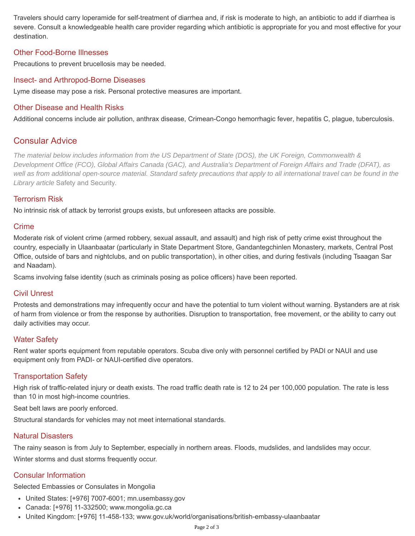Travelers should carry loperamide for self-treatment of diarrhea and, if risk is moderate to high, an antibiotic to add if diarrhea is severe. Consult a knowledgeable health care provider regarding which antibiotic is appropriate for you and most effective for your destination.

#### Other Food-Borne Illnesses

Precautions to prevent brucellosis may be needed.

#### Insect- and Arthropod-Borne Diseases

Lyme disease may pose a risk. Personal protective measures are important.

#### Other Disease and Health Risks

Additional concerns include air pollution, anthrax disease, Crimean-Congo hemorrhagic fever, hepatitis C, plague, tuberculosis.

# Consular Advice

*The material below includes information from the US Department of State (DOS), the UK Foreign, Commonwealth & Development Office (FCO), Global Affairs Canada (GAC), and Australia's Department of Foreign Affairs and Trade (DFAT), as well as from additional open-source material. Standard safety precautions that apply to all international travel can be found in the Library article* [Safety and Security](https://tripprep.com/library/safety-and-security)*.*

#### Terrorism Risk

No intrinsic risk of attack by terrorist groups exists, but unforeseen attacks are possible.

#### Crime

Moderate risk of violent crime (armed robbery, sexual assault, and assault) and high risk of petty crime exist throughout the country, especially in Ulaanbaatar (particularly in State Department Store, Gandantegchinlen Monastery, markets, Central Post Office, outside of bars and nightclubs, and on public transportation), in other cities, and during festivals (including Tsaagan Sar and Naadam).

Scams involving false identity (such as criminals posing as police officers) have been reported.

#### Civil Unrest

Protests and demonstrations may infrequently occur and have the potential to turn violent without warning. Bystanders are at risk of harm from violence or from the response by authorities. Disruption to transportation, free movement, or the ability to carry out daily activities may occur.

#### Water Safety

Rent water sports equipment from reputable operators. Scuba dive only with personnel certified by PADI or NAUI and use equipment only from PADI- or NAUI-certified dive operators.

#### Transportation Safety

High risk of traffic-related injury or death exists. The road traffic death rate is 12 to 24 per 100,000 population. The rate is less than 10 in most high-income countries.

Seat belt laws are poorly enforced.

Structural standards for vehicles may not meet international standards.

#### Natural Disasters

The rainy season is from July to September, especially in northern areas. Floods, mudslides, and landslides may occur. Winter storms and dust storms frequently occur.

#### Consular Information

Selected Embassies or Consulates in Mongolia

- United States: [+976] 7007-6001; mn.usembassy.gov
- Canada: [+976] 11-332500; www.mongolia.gc.ca
- United Kingdom: [+976] 11-458-133; www.gov.uk/world/organisations/british-embassy-ulaanbaatar